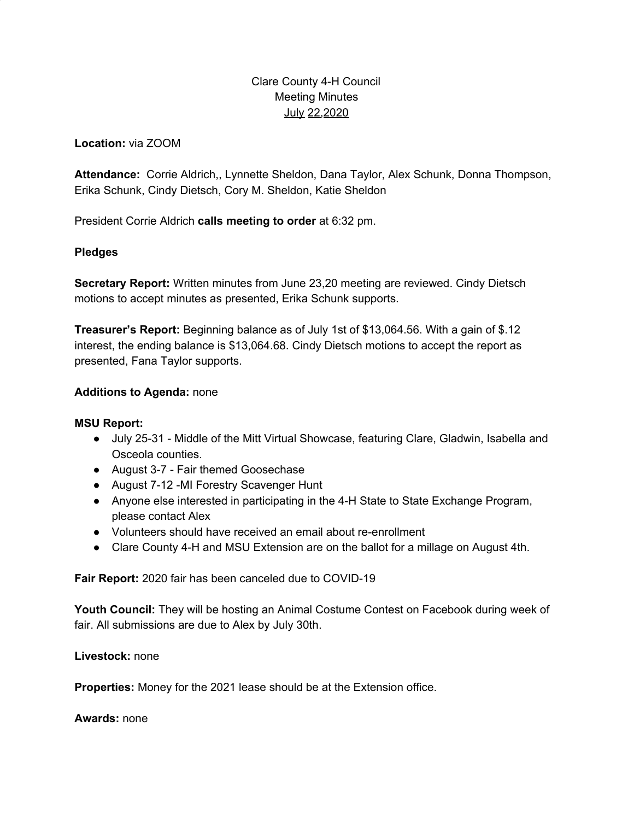# Clare County 4-H Council Meeting Minutes July 22,2020

**Location:** via ZOOM

**Attendance:** Corrie Aldrich,, Lynnette Sheldon, Dana Taylor, Alex Schunk, Donna Thompson, Erika Schunk, Cindy Dietsch, Cory M. Sheldon, Katie Sheldon

President Corrie Aldrich **calls meeting to order** at 6:32 pm.

## **Pledges**

**Secretary Report:** Written minutes from June 23,20 meeting are reviewed. Cindy Dietsch motions to accept minutes as presented, Erika Schunk supports.

**Treasurer's Report:** Beginning balance as of July 1st of \$13,064.56. With a gain of \$.12 interest, the ending balance is \$13,064.68. Cindy Dietsch motions to accept the report as presented, Fana Taylor supports.

## **Additions to Agenda:** none

## **MSU Report:**

- July 25-31 Middle of the Mitt Virtual Showcase, featuring Clare, Gladwin, Isabella and Osceola counties.
- August 3-7 Fair themed Goosechase
- August 7-12 -MI Forestry Scavenger Hunt
- Anyone else interested in participating in the 4-H State to State Exchange Program, please contact Alex
- Volunteers should have received an email about re-enrollment
- Clare County 4-H and MSU Extension are on the ballot for a millage on August 4th.

**Fair Report:** 2020 fair has been canceled due to COVID-19

**Youth Council:** They will be hosting an Animal Costume Contest on Facebook during week of fair. All submissions are due to Alex by July 30th.

**Livestock:** none

**Properties:** Money for the 2021 lease should be at the Extension office.

**Awards:** none